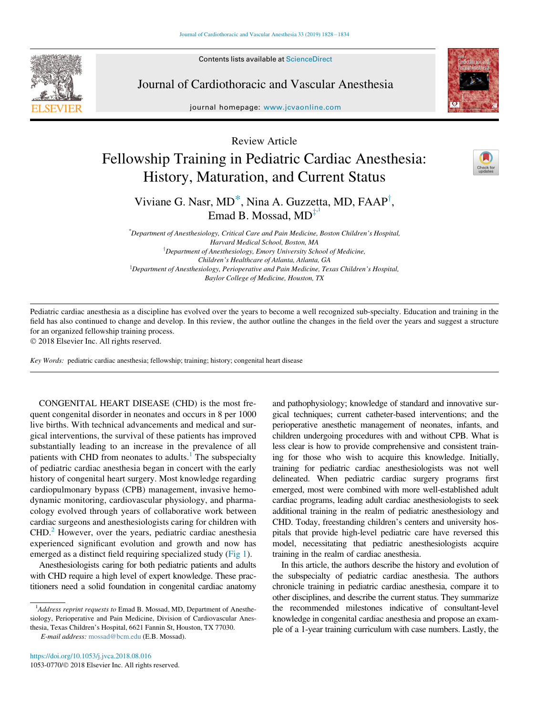Contents lists available at ScienceDirect

# Journal of Cardiothoracic and Vascular Anesthesia

journal homepage: [www.jcvaonline.com](http://www.jcvaonline.com)



Review Article

# Fellowship Training in Pediatric Cardiac Anesthesia: History, Maturation, and Current Status



Viviane G. Nasr,  $MD^*$  $MD^*$ , Nina A. Guzzetta, MD, FAAP<sup>†</sup>, Emad B. Mossad,  $MD^{\ddagger}$ 

\* Department of Anesthesiology, Critical Care and Pain Medicine, Boston Children's Hospital, Harvard Medical School, Boston, MA <sup>†</sup>Department of Anesthesiology, Emory University School of Medicine, Children's Healthcare of Atlanta, Atlanta, GA  ${}^{\text{!`}}$ Department of Anesthesiology, Perioperative and Pain Medicine, Texas Children's Hospital, Baylor College of Medicine, Houston, TX

<span id="page-0-1"></span><span id="page-0-0"></span>Pediatric cardiac anesthesia as a discipline has evolved over the years to become a well recognized sub-specialty. Education and training in the field has also continued to change and develop. In this review, the author outline the changes in the field over the years and suggest a structure for an organized fellowship training process.

2018 Elsevier Inc. All rights reserved.

Key Words: pediatric cardiac anesthesia; fellowship; training; history; congenital heart disease

CONGENITAL HEART DISEASE (CHD) is the most frequent congenital disorder in neonates and occurs in 8 per 1000 live births. With technical advancements and medical and surgical interventions, the survival of these patients has improved substantially leading to an increase in the prevalence of all patients with CHD from neonates to adults. $<sup>1</sup>$  $<sup>1</sup>$  $<sup>1</sup>$  The subspecialty</sup> of pediatric cardiac anesthesia began in concert with the early history of congenital heart surgery. Most knowledge regarding cardiopulmonary bypass (CPB) management, invasive hemodynamic monitoring, cardiovascular physiology, and pharmacology evolved through years of collaborative work between cardiac surgeons and anesthesiologists caring for children with CHD.[2](#page-5-1) However, over the years, pediatric cardiac anesthesia experienced significant evolution and growth and now has emerged as a distinct field requiring specialized study [\(Fig 1](#page-1-0)).

Anesthesiologists caring for both pediatric patients and adults with CHD require a high level of expert knowledge. These practitioners need a solid foundation in congenital cardiac anatomy

E-mail address: [mossad@bcm.edu](mailto:mossad@bcm.edu) (E.B. Mossad).

and pathophysiology; knowledge of standard and innovative surgical techniques; current catheter-based interventions; and the perioperative anesthetic management of neonates, infants, and children undergoing procedures with and without CPB. What is less clear is how to provide comprehensive and consistent training for those who wish to acquire this knowledge. Initially, training for pediatric cardiac anesthesiologists was not well delineated. When pediatric cardiac surgery programs first emerged, most were combined with more well-established adult cardiac programs, leading adult cardiac anesthesiologists to seek additional training in the realm of pediatric anesthesiology and CHD. Today, freestanding children's centers and university hospitals that provide high-level pediatric care have reversed this model, necessitating that pediatric anesthesiologists acquire training in the realm of cardiac anesthesia.

In this article, the authors describe the history and evolution of the subspecialty of pediatric cardiac anesthesia. The authors chronicle training in pediatric cardiac anesthesia, compare it to other disciplines, and describe the current status. They summarize the recommended milestones indicative of consultant-level knowledge in congenital cardiac anesthesia and propose an example of a 1-year training curriculum with case numbers. Lastly, the

<sup>&</sup>lt;sup>1</sup>Address reprint requests to Emad B. Mossad, MD, Department of Anesthesiology, Perioperative and Pain Medicine, Division of Cardiovascular Anesthesia, Texas Children's Hospital, 6621 Fannin St, Houston, TX 77030.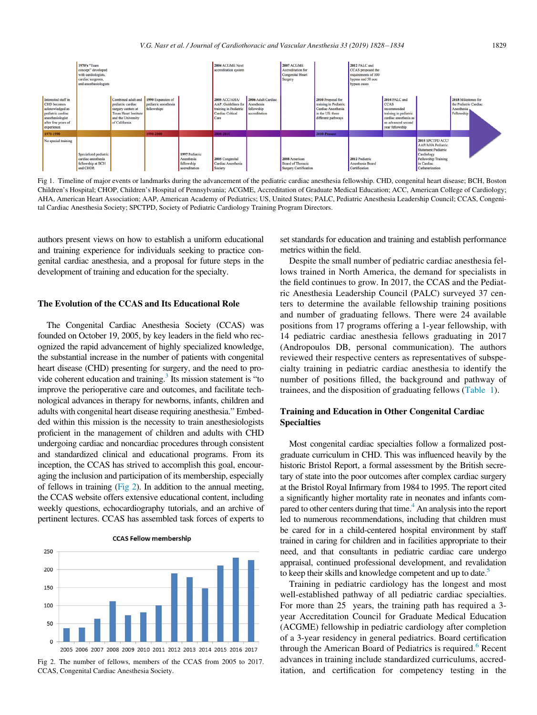<span id="page-1-0"></span>

Fig 1. Timeline of major events or landmarks during the advancement of the pediatric cardiac anesthesia fellowship. CHD, congenital heart disease; BCH, Boston Children's Hospital; CHOP, Children's Hospital of Pennsylvania; ACGME, Accreditation of Graduate Medical Education; ACC, American College of Cardiology; AHA, American Heart Association; AAP, American Academy of Pediatrics; US, United States; PALC, Pediatric Anesthesia Leadership Council; CCAS, Congenital Cardiac Anesthesia Society; SPCTPD, Society of Pediatric Cardiology Training Program Directors.

authors present views on how to establish a uniform educational and training experience for individuals seeking to practice congenital cardiac anesthesia, and a proposal for future steps in the development of training and education for the specialty.

### The Evolution of the CCAS and Its Educational Role

The Congenital Cardiac Anesthesia Society (CCAS) was founded on October 19, 2005, by key leaders in the field who recognized the rapid advancement of highly specialized knowledge, the substantial increase in the number of patients with congenital heart disease (CHD) presenting for surgery, and the need to provide coherent education and training.<sup>3</sup> Its mission statement is "to improve the perioperative care and outcomes, and facilitate technological advances in therapy for newborns, infants, children and adults with congenital heart disease requiring anesthesia." Embedded within this mission is the necessity to train anesthesiologists proficient in the management of children and adults with CHD undergoing cardiac and noncardiac procedures through consistent and standardized clinical and educational programs. From its inception, the CCAS has strived to accomplish this goal, encouraging the inclusion and participation of its membership, especially of fellows in training ([Fig 2](#page-1-1)). In addition to the annual meeting, the CCAS website offers extensive educational content, including weekly questions, echocardiography tutorials, and an archive of pertinent lectures. CCAS has assembled task forces of experts to

**CCAS Fellow membership** 

<span id="page-1-1"></span>

Fig 2. The number of fellows, members of the CCAS from 2005 to 2017. CCAS, Congenital Cardiac Anesthesia Society.

set standards for education and training and establish performance metrics within the field.

Despite the small number of pediatric cardiac anesthesia fellows trained in North America, the demand for specialists in the field continues to grow. In 2017, the CCAS and the Pediatric Anesthesia Leadership Council (PALC) surveyed 37 centers to determine the available fellowship training positions and number of graduating fellows. There were 24 available positions from 17 programs offering a 1-year fellowship, with 14 pediatric cardiac anesthesia fellows graduating in 2017 (Andropoulos DB, personal communication). The authors reviewed their respective centers as representatives of subspecialty training in pediatric cardiac anesthesia to identify the number of positions filled, the background and pathway of trainees, and the disposition of graduating fellows ([Table 1](#page-2-0)).

#### Training and Education in Other Congenital Cardiac Specialties

Most congenital cardiac specialties follow a formalized postgraduate curriculum in CHD. This was influenced heavily by the historic Bristol Report, a formal assessment by the British secretary of state into the poor outcomes after complex cardiac surgery at the Bristol Royal Infirmary from 1984 to 1995. The report cited a significantly higher mortality rate in neonates and infants compared to other centers during that time.<sup>4</sup> An analysis into the report led to numerous recommendations, including that children must be cared for in a child-centered hospital environment by staff trained in caring for children and in facilities appropriate to their need, and that consultants in pediatric cardiac care undergo appraisal, continued professional development, and revalidation to keep their skills and knowledge competent and up to date.<sup>5</sup>

Training in pediatric cardiology has the longest and most well-established pathway of all pediatric cardiac specialties. For more than 25 years, the training path has required a 3 year Accreditation Council for Graduate Medical Education (ACGME) fellowship in pediatric cardiology after completion of a 3-year residency in general pediatrics. Board certification through the American Board of Pediatrics is required.<sup>[6](#page-5-5)</sup> Recent advances in training include standardized curriculums, accreditation, and certification for competency testing in the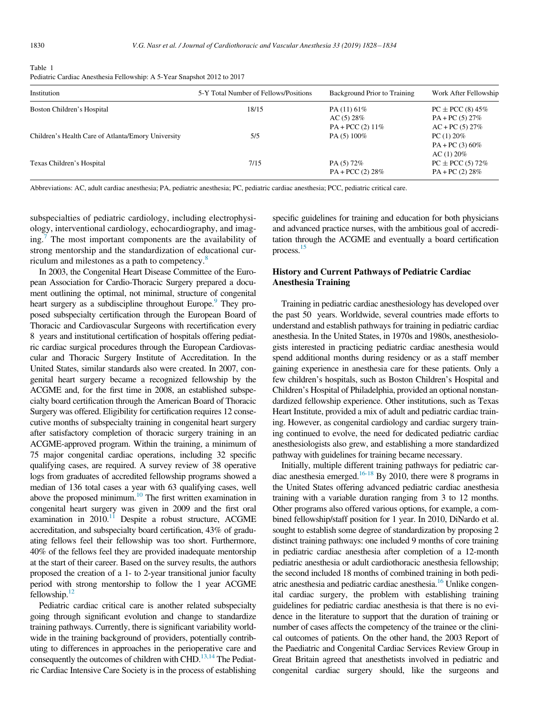<span id="page-2-0"></span>

| Table 1                                                                 |
|-------------------------------------------------------------------------|
| Pediatric Cardiac Anesthesia Fellowship: A 5-Year Snapshot 2012 to 2017 |

| Institution                                        | 5-Y Total Number of Fellows/Positions | Background Prior to Training                    | Work After Fellowship                                          |  |  |
|----------------------------------------------------|---------------------------------------|-------------------------------------------------|----------------------------------------------------------------|--|--|
| Boston Children's Hospital                         | 18/15                                 | PA $(11)$ 61%<br>AC(5) 28%<br>$PA + PCC(2) 11%$ | $PC \pm PCC$ (8) 45%<br>$PA + PC(5) 27\%$<br>$AC + PC(5) 27\%$ |  |  |
| Children's Health Care of Atlanta/Emory University | 5/5                                   | PA $(5)$ 100%                                   | $PC(1) 20\%$<br>$PA + PC(3) 60\%$<br>AC(1) 20%                 |  |  |
| Texas Children's Hospital                          | 7/15                                  | PA(5) 72%<br>$PA + PCC(2) 28%$                  | $PC \pm PCC(5) 72\%$<br>$PA + PC(2) 28%$                       |  |  |

Abbreviations: AC, adult cardiac anesthesia; PA, pediatric anesthesia; PC, pediatric cardiac anesthesia; PCC, pediatric critical care.

subspecialties of pediatric cardiology, including electrophysiology, interventional cardiology, echocardiography, and imag-ing.<sup>[7](#page-5-6)</sup> The most important components are the availability of strong mentorship and the standardization of educational curriculum and milestones as a path to competency. $\delta$ 

In 2003, the Congenital Heart Disease Committee of the European Association for Cardio-Thoracic Surgery prepared a document outlining the optimal, not minimal, structure of congenital heart surgery as a subdiscipline throughout Europe.<sup>9</sup> They proposed subspecialty certification through the European Board of Thoracic and Cardiovascular Surgeons with recertification every 8 years and institutional certification of hospitals offering pediatric cardiac surgical procedures through the European Cardiovascular and Thoracic Surgery Institute of Accreditation. In the United States, similar standards also were created. In 2007, congenital heart surgery became a recognized fellowship by the ACGME and, for the first time in 2008, an established subspecialty board certification through the American Board of Thoracic Surgery was offered. Eligibility for certification requires 12 consecutive months of subspecialty training in congenital heart surgery after satisfactory completion of thoracic surgery training in an ACGME-approved program. Within the training, a minimum of 75 major congenital cardiac operations, including 32 specific qualifying cases, are required. A survey review of 38 operative logs from graduates of accredited fellowship programs showed a median of 136 total cases a year with 63 qualifying cases, well above the proposed minimum.<sup>10</sup> The first written examination in congenital heart surgery was given in 2009 and the first oral examination in 2010.<sup>11</sup> Despite a robust structure, ACGME accreditation, and subspecialty board certification, 43% of graduating fellows feel their fellowship was too short. Furthermore, 40% of the fellows feel they are provided inadequate mentorship at the start of their career. Based on the survey results, the authors proposed the creation of a 1- to 2-year transitional junior faculty period with strong mentorship to follow the 1 year ACGME fellowship. $12$ 

Pediatric cardiac critical care is another related subspecialty going through significant evolution and change to standardize training pathways. Currently, there is significant variability worldwide in the training background of providers, potentially contributing to differences in approaches in the perioperative care and consequently the outcomes of children with CHD.<sup>[13,14](#page-5-12)</sup> The Pediatric Cardiac Intensive Care Society is in the process of establishing specific guidelines for training and education for both physicians and advanced practice nurses, with the ambitious goal of accreditation through the ACGME and eventually a board certification process[.15](#page-5-13)

## History and Current Pathways of Pediatric Cardiac Anesthesia Training

Training in pediatric cardiac anesthesiology has developed over the past 50 years. Worldwide, several countries made efforts to understand and establish pathways for training in pediatric cardiac anesthesia. In the United States, in 1970s and 1980s, anesthesiologists interested in practicing pediatric cardiac anesthesia would spend additional months during residency or as a staff member gaining experience in anesthesia care for these patients. Only a few children's hospitals, such as Boston Children's Hospital and Children's Hospital of Philadelphia, provided an optional nonstandardized fellowship experience. Other institutions, such as Texas Heart Institute, provided a mix of adult and pediatric cardiac training. However, as congenital cardiology and cardiac surgery training continued to evolve, the need for dedicated pediatric cardiac anesthesiologists also grew, and establishing a more standardized pathway with guidelines for training became necessary.

Initially, multiple different training pathways for pediatric cardiac anesthesia emerged.<sup>16-18</sup> By 2010, there were 8 programs in the United States offering advanced pediatric cardiac anesthesia training with a variable duration ranging from 3 to 12 months. Other programs also offered various options, for example, a combined fellowship/staff position for 1 year. In 2010, DiNardo et al. sought to establish some degree of standardization by proposing 2 distinct training pathways: one included 9 months of core training in pediatric cardiac anesthesia after completion of a 12-month pediatric anesthesia or adult cardiothoracic anesthesia fellowship; the second included 18 months of combined training in both pediatric anesthesia and pediatric cardiac anesthesia[.16](#page-5-14) Unlike congenital cardiac surgery, the problem with establishing training guidelines for pediatric cardiac anesthesia is that there is no evidence in the literature to support that the duration of training or number of cases affects the competency of the trainee or the clinical outcomes of patients. On the other hand, the 2003 Report of the Paediatric and Congenital Cardiac Services Review Group in Great Britain agreed that anesthetists involved in pediatric and congenital cardiac surgery should, like the surgeons and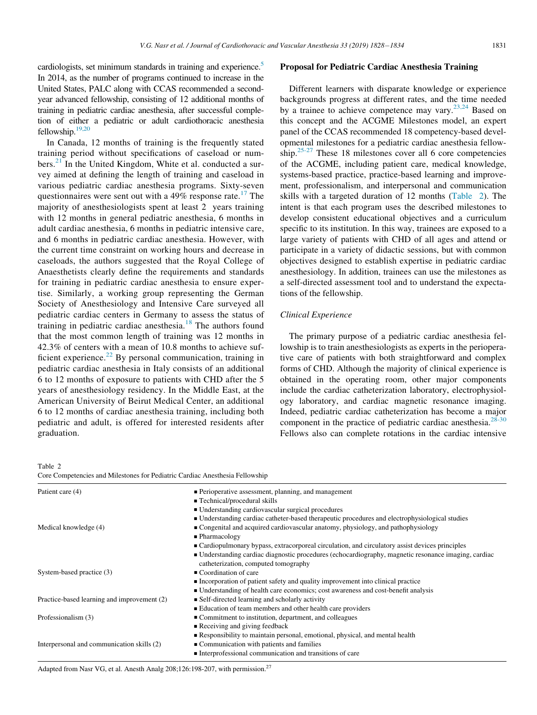cardiologists, set minimum standards in training and experience.<sup>5</sup> In 2014, as the number of programs continued to increase in the United States, PALC along with CCAS recommended a secondyear advanced fellowship, consisting of 12 additional months of training in pediatric cardiac anesthesia, after successful completion of either a pediatric or adult cardiothoracic anesthesia fellowship. $19,20$ 

In Canada, 12 months of training is the frequently stated training period without specifications of caseload or numbers. $^{21}$  $^{21}$  $^{21}$  In the United Kingdom, White et al. conducted a survey aimed at defining the length of training and caseload in various pediatric cardiac anesthesia programs. Sixty-seven questionnaires were sent out with a  $49\%$  response rate.<sup>[17](#page-5-17)</sup> The majority of anesthesiologists spent at least 2 years training with 12 months in general pediatric anesthesia, 6 months in adult cardiac anesthesia, 6 months in pediatric intensive care, and 6 months in pediatric cardiac anesthesia. However, with the current time constraint on working hours and decrease in caseloads, the authors suggested that the Royal College of Anaesthetists clearly define the requirements and standards for training in pediatric cardiac anesthesia to ensure expertise. Similarly, a working group representing the German Society of Anesthesiology and Intensive Care surveyed all pediatric cardiac centers in Germany to assess the status of training in pediatric cardiac anesthesia. $18$  The authors found that the most common length of training was 12 months in 42.3% of centers with a mean of 10.8 months to achieve sufficient experience. $^{22}$  $^{22}$  $^{22}$  By personal communication, training in pediatric cardiac anesthesia in Italy consists of an additional 6 to 12 months of exposure to patients with CHD after the 5 years of anesthesiology residency. In the Middle East, at the American University of Beirut Medical Center, an additional 6 to 12 months of cardiac anesthesia training, including both pediatric and adult, is offered for interested residents after graduation.

#### Proposal for Pediatric Cardiac Anesthesia Training

Different learners with disparate knowledge or experience backgrounds progress at different rates, and the time needed by a trainee to achieve competence may vary.  $23,24$  Based on this concept and the ACGME Milestones model, an expert panel of the CCAS recommended 18 competency-based developmental milestones for a pediatric cardiac anesthesia fellowship.[25-27](#page-6-1) These 18 milestones cover all 6 core competencies of the ACGME, including patient care, medical knowledge, systems-based practice, practice-based learning and improvement, professionalism, and interpersonal and communication skills with a targeted duration of 12 months [\(Table 2\)](#page-3-0). The intent is that each program uses the described milestones to develop consistent educational objectives and a curriculum specific to its institution. In this way, trainees are exposed to a large variety of patients with CHD of all ages and attend or participate in a variety of didactic sessions, but with common objectives designed to establish expertise in pediatric cardiac anesthesiology. In addition, trainees can use the milestones as a self-directed assessment tool and to understand the expectations of the fellowship.

#### Clinical Experience

The primary purpose of a pediatric cardiac anesthesia fellowship is to train anesthesiologists as experts in the perioperative care of patients with both straightforward and complex forms of CHD. Although the majority of clinical experience is obtained in the operating room, other major components include the cardiac catheterization laboratory, electrophysiology laboratory, and cardiac magnetic resonance imaging. Indeed, pediatric cardiac catheterization has become a major component in the practice of pediatric cardiac anesthesia. $28-30$ Fellows also can complete rotations in the cardiac intensive

<span id="page-3-0"></span>Table 2

Core Competencies and Milestones for Pediatric Cardiac Anesthesia Fellowship

| Patient care (4)                            | • Perioperative assessment, planning, and management<br>■ Technical/procedural skills                                                                                             |  |  |  |  |
|---------------------------------------------|-----------------------------------------------------------------------------------------------------------------------------------------------------------------------------------|--|--|--|--|
|                                             |                                                                                                                                                                                   |  |  |  |  |
|                                             | ■ Understanding cardiovascular surgical procedures                                                                                                                                |  |  |  |  |
|                                             | • Understanding cardiac catheter-based therapeutic procedures and electrophysiological studies<br>Congenital and acquired cardiovascular anatomy, physiology, and pathophysiology |  |  |  |  |
| Medical knowledge (4)                       |                                                                                                                                                                                   |  |  |  |  |
|                                             | $\blacksquare$ Pharmacology                                                                                                                                                       |  |  |  |  |
|                                             | • Cardiopulmonary bypass, extracorporeal circulation, and circulatory assist devices principles                                                                                   |  |  |  |  |
|                                             | • Understanding cardiac diagnostic procedures (echocardiography, magnetic resonance imaging, cardiac<br>catheterization, computed tomography                                      |  |  |  |  |
| System-based practice (3)                   | $\blacksquare$ Coordination of care                                                                                                                                               |  |  |  |  |
|                                             | Incorporation of patient safety and quality improvement into clinical practice                                                                                                    |  |  |  |  |
|                                             | • Understanding of health care economics; cost awareness and cost-benefit analysis                                                                                                |  |  |  |  |
| Practice-based learning and improvement (2) | • Self-directed learning and scholarly activity                                                                                                                                   |  |  |  |  |
|                                             | ■ Education of team members and other health care providers                                                                                                                       |  |  |  |  |
| Professionalism (3)                         | • Commitment to institution, department, and colleagues                                                                                                                           |  |  |  |  |
|                                             | Receiving and giving feedback                                                                                                                                                     |  |  |  |  |
|                                             | Responsibility to maintain personal, emotional, physical, and mental health                                                                                                       |  |  |  |  |
| Interpersonal and communication skills (2)  | ■ Communication with patients and families                                                                                                                                        |  |  |  |  |
|                                             | Interprofessional communication and transitions of care                                                                                                                           |  |  |  |  |

Adapted from Nasr VG, et al. Anesth Analg 208;126:198-207, with permission.27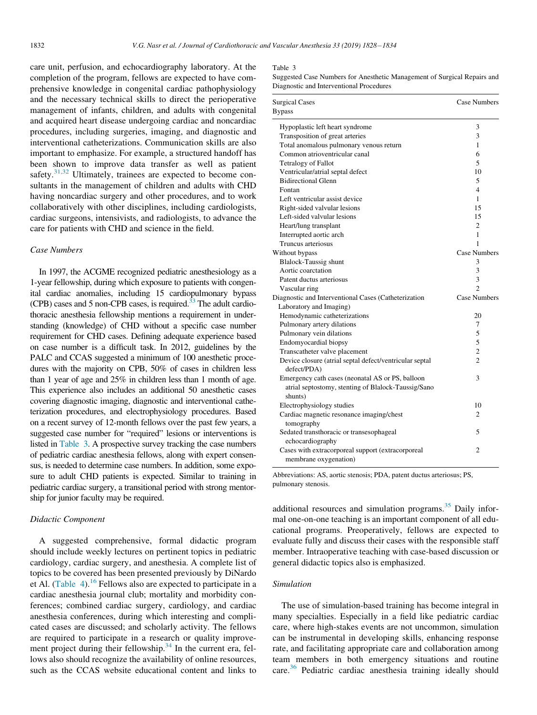<span id="page-4-0"></span>care unit, perfusion, and echocardiography laboratory. At the completion of the program, fellows are expected to have comprehensive knowledge in congenital cardiac pathophysiology and the necessary technical skills to direct the perioperative management of infants, children, and adults with congenital and acquired heart disease undergoing cardiac and noncardiac procedures, including surgeries, imaging, and diagnostic and interventional catheterizations. Communication skills are also important to emphasize. For example, a structured handoff has been shown to improve data transfer as well as patient safety.<sup>[31,32](#page-6-3)</sup> Ultimately, trainees are expected to become consultants in the management of children and adults with CHD having noncardiac surgery and other procedures, and to work collaboratively with other disciplines, including cardiologists, cardiac surgeons, intensivists, and radiologists, to advance the care for patients with CHD and science in the field.

#### Case Numbers

In 1997, the ACGME recognized pediatric anesthesiology as a 1-year fellowship, during which exposure to patients with congenital cardiac anomalies, including 15 cardiopulmonary bypass (CPB) cases and 5 non-CPB cases, is required.<sup>33</sup> The adult cardiothoracic anesthesia fellowship mentions a requirement in understanding (knowledge) of CHD without a specific case number requirement for CHD cases. Defining adequate experience based on case number is a difficult task. In 2012, guidelines by the PALC and CCAS suggested a minimum of 100 anesthetic procedures with the majority on CPB, 50% of cases in children less than 1 year of age and 25% in children less than 1 month of age. This experience also includes an additional 50 anesthetic cases covering diagnostic imaging, diagnostic and interventional catheterization procedures, and electrophysiology procedures. Based on a recent survey of 12-month fellows over the past few years, a suggested case number for "required" lesions or interventions is listed in [Table 3](#page-4-0). A prospective survey tracking the case numbers of pediatric cardiac anesthesia fellows, along with expert consensus, is needed to determine case numbers. In addition, some exposure to adult CHD patients is expected. Similar to training in pediatric cardiac surgery, a transitional period with strong mentorship for junior faculty may be required.

#### Didactic Component

A suggested comprehensive, formal didactic program should include weekly lectures on pertinent topics in pediatric cardiology, cardiac surgery, and anesthesia. A complete list of topics to be covered has been presented previously by DiNardo et Al. [\(Table 4\)](#page-5-20).<sup>[16](#page-5-14)</sup> Fellows also are expected to participate in a cardiac anesthesia journal club; mortality and morbidity conferences; combined cardiac surgery, cardiology, and cardiac anesthesia conferences, during which interesting and complicated cases are discussed; and scholarly activity. The fellows are required to participate in a research or quality improvement project during their fellowship.<sup>34</sup> In the current era, fellows also should recognize the availability of online resources, such as the CCAS website educational content and links to

#### Table 3

Suggested Case Numbers for Anesthetic Management of Surgical Repairs and Diagnostic and Interventional Procedures

| <b>Surgical Cases</b><br><b>Bypass</b>                                                                             | Case Numbers             |
|--------------------------------------------------------------------------------------------------------------------|--------------------------|
| Hypoplastic left heart syndrome                                                                                    | 3                        |
| Transposition of great arteries                                                                                    | 3                        |
| Total anomalous pulmonary venous return                                                                            | 1                        |
| Common atrioventricular canal                                                                                      | 6                        |
| <b>Tetralogy of Fallot</b>                                                                                         | $\overline{\phantom{0}}$ |
| Ventricular/atrial septal defect                                                                                   | 10                       |
| <b>Bidirectional Glenn</b>                                                                                         | 5                        |
| Fontan                                                                                                             | $\overline{4}$           |
| Left ventricular assist device                                                                                     | $\mathbf{1}$             |
| Right-sided valvular lesions                                                                                       | 15                       |
| Left-sided valvular lesions                                                                                        | 15                       |
| Heart/lung transplant                                                                                              | $\overline{c}$           |
| Interrupted aortic arch                                                                                            | 1                        |
| Truncus arteriosus                                                                                                 | 1                        |
| Without bypass                                                                                                     | <b>Case Numbers</b>      |
| <b>Blalock-Taussig shunt</b>                                                                                       | 3                        |
| Aortic coarctation                                                                                                 | 3                        |
| Patent ductus arteriosus                                                                                           | 3                        |
| Vascular ring                                                                                                      | $\mathfrak{D}$           |
| Diagnostic and Interventional Cases (Catheterization                                                               | <b>Case Numbers</b>      |
| Laboratory and Imaging)                                                                                            |                          |
| Hemodynamic catheterizations                                                                                       | 20                       |
| Pulmonary artery dilations                                                                                         | 7                        |
| Pulmonary vein dilations                                                                                           | 5                        |
| Endomyocardial biopsy                                                                                              | 5                        |
| Transcatheter valve placement                                                                                      | $\overline{c}$           |
| Device closure (atrial septal defect/ventricular septal<br>defect/PDA)                                             | $\overline{c}$           |
| Emergency cath cases (neonatal AS or PS, balloon<br>atrial septostomy, stenting of Blalock-Taussig/Sano<br>shunts) | 3                        |
| Electrophysiology studies                                                                                          | 10                       |
| Cardiac magnetic resonance imaging/chest<br>tomography                                                             | 2                        |
| Sedated transthoracic or transesophageal<br>echocardiography                                                       | 5                        |
| Cases with extracorporeal support (extracorporeal<br>membrane oxygenation)                                         | 2                        |

Abbreviations: AS, aortic stenosis; PDA, patent ductus arteriosus; PS, pulmonary stenosis.

additional resources and simulation programs. $35$  Daily informal one-on-one teaching is an important component of all educational programs. Preoperatively, fellows are expected to evaluate fully and discuss their cases with the responsible staff member. Intraoperative teaching with case-based discussion or general didactic topics also is emphasized.

#### Simulation

The use of simulation-based training has become integral in many specialties. Especially in a field like pediatric cardiac care, where high-stakes events are not uncommon, simulation can be instrumental in developing skills, enhancing response rate, and facilitating appropriate care and collaboration among team members in both emergency situations and routine care.[36](#page-6-7) Pediatric cardiac anesthesia training ideally should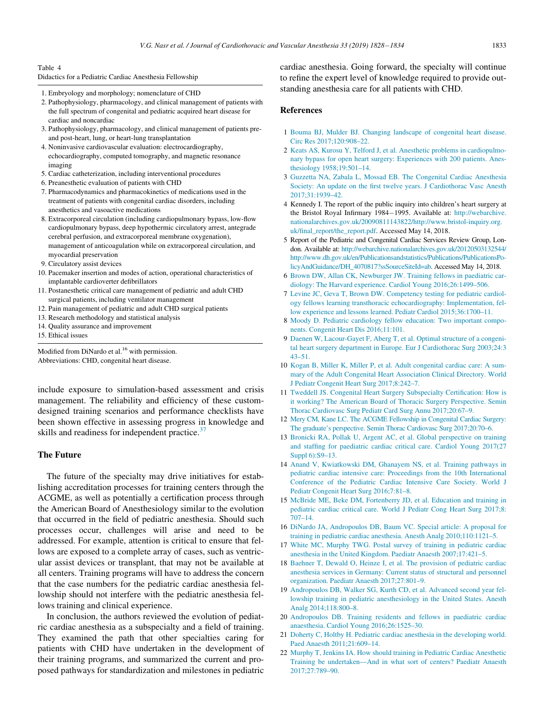#### <span id="page-5-20"></span>Table 4

|  |  |  |  |  |  | Didactics for a Pediatric Cardiac Anesthesia Fellowship |  |  |  |  |  |  |
|--|--|--|--|--|--|---------------------------------------------------------|--|--|--|--|--|--|
|--|--|--|--|--|--|---------------------------------------------------------|--|--|--|--|--|--|

- 1. Embryology and morphology; nomenclature of CHD
- 2. Pathophysiology, pharmacology, and clinical management of patients with the full spectrum of congenital and pediatric acquired heart disease for cardiac and noncardiac
- <span id="page-5-0"></span>3. Pathophysiology, pharmacology, and clinical management of patients preand post-heart, lung, or heart-lung transplantation
- <span id="page-5-1"></span>4. Noninvasive cardiovascular evaluation: electrocardiography, echocardiography, computed tomography, and magnetic resonance imaging
- <span id="page-5-2"></span>5. Cardiac catheterization, including interventional procedures
- 6. Preanesthetic evaluation of patients with CHD
- <span id="page-5-3"></span>7. Pharmacodynamics and pharmacokinetics of medications used in the treatment of patients with congenital cardiac disorders, including anesthetics and vasoactive medications
- <span id="page-5-4"></span>8. Extracorporeal circulation (including cardiopulmonary bypass, low-flow cardiopulmonary bypass, deep hypothermic circulatory arrest, antegrade cerebral perfusion, and extracorporeal membrane oxygenation), management of anticoagulation while on extracorporeal circulation, and myocardial preservation
- 9. Circulatory assist devices
- <span id="page-5-5"></span>10. Pacemaker insertion and modes of action, operational characteristics of implantable cardioverter defibrillators
- <span id="page-5-6"></span>11. Postanesthetic critical care management of pediatric and adult CHD surgical patients, including ventilator management
- 12. Pain management of pediatric and adult CHD surgical patients
- <span id="page-5-7"></span>13. Research methodology and statistical analysis
- 14. Quality assurance and improvement
- <span id="page-5-8"></span>15. Ethical issues

<span id="page-5-9"></span>Modified from DiNardo et al.<sup>16</sup> with permission. Abbreviations: CHD, congenital heart disease.

<span id="page-5-11"></span><span id="page-5-10"></span>include exposure to simulation-based assessment and crisis management. The reliability and efficiency of these customdesigned training scenarios and performance checklists have been shown effective in assessing progress in knowledge and skills and readiness for independent practice.<sup>[37](#page-6-8)</sup>

#### <span id="page-5-12"></span>The Future

<span id="page-5-17"></span><span id="page-5-14"></span><span id="page-5-13"></span>The future of the specialty may drive initiatives for establishing accreditation processes for training centers through the ACGME, as well as potentially a certification process through the American Board of Anesthesiology similar to the evolution that occurred in the field of pediatric anesthesia. Should such processes occur, challenges will arise and need to be addressed. For example, attention is critical to ensure that fellows are exposed to a complete array of cases, such as ventricular assist devices or transplant, that may not be available at all centers. Training programs will have to address the concern that the case numbers for the pediatric cardiac anesthesia fellowship should not interfere with the pediatric anesthesia fellows training and clinical experience.

<span id="page-5-19"></span><span id="page-5-18"></span><span id="page-5-16"></span><span id="page-5-15"></span>In conclusion, the authors reviewed the evolution of pediatric cardiac anesthesia as a subspecialty and a field of training. They examined the path that other specialties caring for patients with CHD have undertaken in the development of their training programs, and summarized the current and proposed pathways for standardization and milestones in pediatric cardiac anesthesia. Going forward, the specialty will continue to refine the expert level of knowledge required to provide outstanding anesthesia care for all patients with CHD.

#### References

- 1 [Bouma BJ, Mulder BJ. Changing landscape of congenital heart disease.](http://refhub.elsevier.com/S1053-0770(18)30621-9/sbref0001) [Circ Res 2017;120:908–22.](http://refhub.elsevier.com/S1053-0770(18)30621-9/sbref0001)
- 2 [Keats AS, Kurosu Y, Telford J, et al. Anesthetic problems in cardiopulmo](http://refhub.elsevier.com/S1053-0770(18)30621-9/sbref0002)[nary bypass for open heart surgery: Experiences with 200 patients. Anes](http://refhub.elsevier.com/S1053-0770(18)30621-9/sbref0002)[thesiology 1958;19:501–14.](http://refhub.elsevier.com/S1053-0770(18)30621-9/sbref0002)
- 3 [Guzzetta NA, Zabala L, Mossad EB. The Congenital Cardiac Anesthesia](http://refhub.elsevier.com/S1053-0770(18)30621-9/sbref0003) [Society: An update on the first twelve years. J Cardiothorac Vasc Anesth](http://refhub.elsevier.com/S1053-0770(18)30621-9/sbref0003) [2017;31:1939–42.](http://refhub.elsevier.com/S1053-0770(18)30621-9/sbref0003)
- 4 Kennedy I. The report of the public inquiry into children's heart surgery at the Bristol Royal Infirmary 1984-1995. Available at: [http://webarchive.](http://webarchive.nationalarchives.gov.uk/20090811143822/http://www.bristol-inquiry.org.uk/final_report/the_report.pdf) [nationalarchives.gov.uk/20090811143822/http://www.bristol-inquiry.org.](http://webarchive.nationalarchives.gov.uk/20090811143822/http://www.bristol-inquiry.org.uk/final_report/the_report.pdf) [uk/final\\_report/the\\_report.pdf](http://webarchive.nationalarchives.gov.uk/20090811143822/http://www.bristol-inquiry.org.uk/final_report/the_report.pdf). Accessed May 14, 2018.
- 5 Report of the Pediatric and Congenital Cardiac Services Review Group, London. Available at: [http://webarchive.nationalarchives.gov.uk/20120503132544/](http://webarchive.nationalarchives.gov.uk/20120503132544/http://www.dh.gov.uk/en/Publicationsandstatistics/Publications/PublicationsPolicyAndGuidance/DH_4070817?ssSourceSiteId=ab) [http://www.dh.gov.uk/en/Publicationsandstatistics/Publications/PublicationsPo](http://webarchive.nationalarchives.gov.uk/20120503132544/http://www.dh.gov.uk/en/Publicationsandstatistics/Publications/PublicationsPolicyAndGuidance/DH_4070817?ssSourceSiteId=ab)[licyAndGuidance/DH\\_4070817?ssSourceSiteId=ab.](http://webarchive.nationalarchives.gov.uk/20120503132544/http://www.dh.gov.uk/en/Publicationsandstatistics/Publications/PublicationsPolicyAndGuidance/DH_4070817?ssSourceSiteId=ab) Accessed May 14, 2018.
- 6 [Brown DW, Allan CK, Newburger JW. Training fellows in paediatric car](http://refhub.elsevier.com/S1053-0770(18)30621-9/sbref0004)[diology: The Harvard experience. Cardiol Young 2016;26:1499–506.](http://refhub.elsevier.com/S1053-0770(18)30621-9/sbref0004)
- 7 [Levine JC, Geva T, Brown DW. Competency testing for pediatric cardiol](http://refhub.elsevier.com/S1053-0770(18)30621-9/sbref0005)[ogy fellows learning transthoracic echocardiography: Implementation, fel](http://refhub.elsevier.com/S1053-0770(18)30621-9/sbref0005)[low experience and lessons learned. Pediatr Cardiol 2015;36:1700–11.](http://refhub.elsevier.com/S1053-0770(18)30621-9/sbref0005)
- 8 [Moody D. Pediatric cardiology fellow education: Two important compo](http://refhub.elsevier.com/S1053-0770(18)30621-9/sbref0006)[nents. Congenit Heart Dis 2016;11:101.](http://refhub.elsevier.com/S1053-0770(18)30621-9/sbref0006)
- 9 [Daenen W, Lacour-Gayet F, Aberg T, et al. Optimal structure of a congeni](http://refhub.elsevier.com/S1053-0770(18)30621-9/sbref0007)[tal heart surgery department in Europe. Eur J Cardiothorac Surg 2003;24:3](http://refhub.elsevier.com/S1053-0770(18)30621-9/sbref0007) [43–51.](http://refhub.elsevier.com/S1053-0770(18)30621-9/sbref0007)
- 10 [Kogan B, Miller K, Miller P, et al. Adult congenital cardiac care: A sum](http://refhub.elsevier.com/S1053-0770(18)30621-9/sbref0008)[mary of the Adult Congenital Heart Association Clinical Directory. World](http://refhub.elsevier.com/S1053-0770(18)30621-9/sbref0008) [J Pediatr Congenit Heart Surg 2017;8:242–7.](http://refhub.elsevier.com/S1053-0770(18)30621-9/sbref0008)
- 11 [Tweddell JS. Congenital Heart Surgery Subspecialty Certification: How is](http://refhub.elsevier.com/S1053-0770(18)30621-9/sbref0009) [it working? The American Board of Thoracic Surgery Perspective. Semin](http://refhub.elsevier.com/S1053-0770(18)30621-9/sbref0009) [Thorac Cardiovasc Surg Pediatr Card Surg Annu 2017;20:67–9.](http://refhub.elsevier.com/S1053-0770(18)30621-9/sbref0009)
- 12 [Mery CM, Kane LC. The ACGME Fellowship in Congenital Cardiac Surgery:](http://refhub.elsevier.com/S1053-0770(18)30621-9/sbref0010) [The graduate's perspective. Semin Thorac Cardiovasc Surg 2017;20:70–6.](http://refhub.elsevier.com/S1053-0770(18)30621-9/sbref0010)
- 13 [Bronicki RA, Pollak U, Argent AC, et al. Global perspective on training](http://refhub.elsevier.com/S1053-0770(18)30621-9/sbref0011) [and staffing for paediatric cardiac critical care. Cardiol Young 2017\(27](http://refhub.elsevier.com/S1053-0770(18)30621-9/sbref0011) [Suppl 6\):S9–13.](http://refhub.elsevier.com/S1053-0770(18)30621-9/sbref0011)
- 14 [Anand V, Kwiatkowski DM, Ghanayem NS, et al. Training pathways in](http://refhub.elsevier.com/S1053-0770(18)30621-9/sbref0012) [pediatric cardiac intensive care: Proceedings from the 10th International](http://refhub.elsevier.com/S1053-0770(18)30621-9/sbref0012) [Conference of the Pediatric Cardiac Intensive Care Society. World J](http://refhub.elsevier.com/S1053-0770(18)30621-9/sbref0012) [Pediatr Congenit Heart Surg 2016;7:81–8.](http://refhub.elsevier.com/S1053-0770(18)30621-9/sbref0012)
- 15 [McBride ME, Beke DM, Fortenberry JD, et al. Education and training in](http://refhub.elsevier.com/S1053-0770(18)30621-9/sbref0013) [pediatric cardiac critical care. World J Pediatr Cong Heart Surg 2017;8:](http://refhub.elsevier.com/S1053-0770(18)30621-9/sbref0013) [707–14.](http://refhub.elsevier.com/S1053-0770(18)30621-9/sbref0013)
- 16 [DiNardo JA, Andropoulos DB, Baum VC. Special article: A proposal for](http://refhub.elsevier.com/S1053-0770(18)30621-9/sbref0014) [training in pediatric cardiac anesthesia. Anesth Analg 2010;110:1121–5.](http://refhub.elsevier.com/S1053-0770(18)30621-9/sbref0014)
- 17 [White MC, Murphy TWG. Postal survey of training in pediatric cardiac](http://refhub.elsevier.com/S1053-0770(18)30621-9/sbref0015) [anesthesia in the United Kingdom. Paediatr Anaesth 2007;17:421–5.](http://refhub.elsevier.com/S1053-0770(18)30621-9/sbref0015)
- 18 [Baehner T, Dewald O, Heinze I, et al. The provision of pediatric cardiac](http://refhub.elsevier.com/S1053-0770(18)30621-9/sbref0016) [anesthesia services in Germany: Current status of structural and personnel](http://refhub.elsevier.com/S1053-0770(18)30621-9/sbref0016) [organization. Paediatr Anaesth 2017;27:801–9.](http://refhub.elsevier.com/S1053-0770(18)30621-9/sbref0016)
- 19 [Andropoulos DB, Walker SG, Kurth CD, et al. Advanced second year fel](http://refhub.elsevier.com/S1053-0770(18)30621-9/sbref0017)[lowship training in pediatric anesthesiology in the United States. Anesth](http://refhub.elsevier.com/S1053-0770(18)30621-9/sbref0017) [Analg 2014;118:800–8.](http://refhub.elsevier.com/S1053-0770(18)30621-9/sbref0017)
- 20 [Andropoulos DB. Training residents and fellows in paediatric cardiac](http://refhub.elsevier.com/S1053-0770(18)30621-9/sbref0018) [anaesthesia. Cardiol Young 2016;26:1525–30.](http://refhub.elsevier.com/S1053-0770(18)30621-9/sbref0018)
- 21 [Doherty C, Holtby H. Pediatric cardiac anesthesia in the developing world.](http://refhub.elsevier.com/S1053-0770(18)30621-9/sbref0019) [Paed Anaesth 2011;21:609–14.](http://refhub.elsevier.com/S1053-0770(18)30621-9/sbref0019)
- 22 [Murphy T, Jenkins IA. How should training in Pediatric Cardiac Anesthetic](http://refhub.elsevier.com/S1053-0770(18)30621-9/sbref0020) [Training be undertaken—And in what sort of centers? Paediatr Anaesth](http://refhub.elsevier.com/S1053-0770(18)30621-9/sbref0020) [2017;27:789–90.](http://refhub.elsevier.com/S1053-0770(18)30621-9/sbref0020)